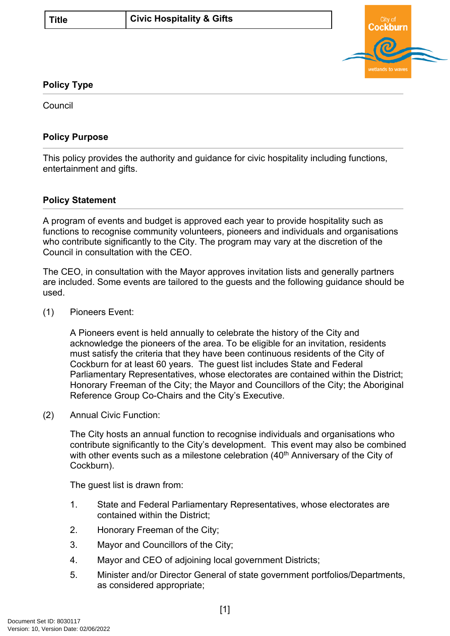

### **Policy Type**

Council

### **Policy Purpose**

This policy provides the authority and guidance for civic hospitality including functions, entertainment and gifts.

### **Policy Statement**

A program of events and budget is approved each year to provide hospitality such as functions to recognise community volunteers, pioneers and individuals and organisations who contribute significantly to the City. The program may vary at the discretion of the Council in consultation with the CEO.

The CEO, in consultation with the Mayor approves invitation lists and generally partners are included. Some events are tailored to the guests and the following guidance should be used.

(1) Pioneers Event:

A Pioneers event is held annually to celebrate the history of the City and acknowledge the pioneers of the area. To be eligible for an invitation, residents must satisfy the criteria that they have been continuous residents of the City of Cockburn for at least 60 years. The guest list includes State and Federal Parliamentary Representatives, whose electorates are contained within the District; Honorary Freeman of the City; the Mayor and Councillors of the City; the Aboriginal Reference Group Co-Chairs and the City's Executive.

(2) Annual Civic Function:

The City hosts an annual function to recognise individuals and organisations who contribute significantly to the City's development. This event may also be combined with other events such as a milestone celebration  $(40<sup>th</sup>$  Anniversary of the City of Cockburn).

The guest list is drawn from:

- 1. State and Federal Parliamentary Representatives, whose electorates are contained within the District;
- 2. Honorary Freeman of the City;
- 3. Mayor and Councillors of the City;
- 4. Mayor and CEO of adjoining local government Districts;
- 5. Minister and/or Director General of state government portfolios/Departments, as considered appropriate;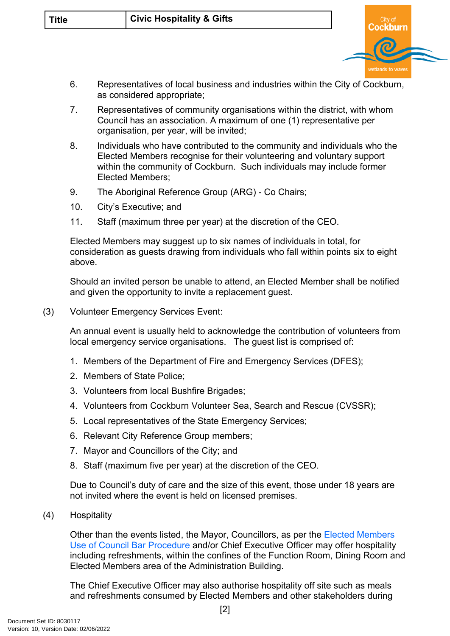| <b>Title</b> | <b>Civic Hospitality &amp; Gifts</b> |  |
|--------------|--------------------------------------|--|
|--------------|--------------------------------------|--|

- 6. Representatives of local business and industries within the City of Cockburn, as considered appropriate;
- 7. Representatives of community organisations within the district, with whom Council has an association. A maximum of one (1) representative per organisation, per year, will be invited;
- 8. Individuals who have contributed to the community and individuals who the Elected Members recognise for their volunteering and voluntary support within the community of Cockburn. Such individuals may include former Elected Members;
- 9. The Aboriginal Reference Group (ARG) Co Chairs;
- 10. City's Executive; and
- 11. Staff (maximum three per year) at the discretion of the CEO.

Elected Members may suggest up to six names of individuals in total, for consideration as guests drawing from individuals who fall within points six to eight above.

Should an invited person be unable to attend, an Elected Member shall be notified and given the opportunity to invite a replacement guest.

(3) Volunteer Emergency Services Event:

An annual event is usually held to acknowledge the contribution of volunteers from local emergency service organisations. The guest list is comprised of:

- 1. Members of the Department of Fire and Emergency Services (DFES);
- 2. Members of State Police;
- 3. Volunteers from local Bushfire Brigades;
- 4. Volunteers from Cockburn Volunteer Sea, Search and Rescue (CVSSR);
- 5. Local representatives of the State Emergency Services;
- 6. Relevant City Reference Group members;
- 7. Mayor and Councillors of the City; and
- 8. Staff (maximum five per year) at the discretion of the CEO.

Due to Council's duty of care and the size of this event, those under 18 years are not invited where the event is held on licensed premises.

(4) Hospitality

Other than the events listed, the Mayor, Councillors, as per the [Elected Members](#page-3-0)  [Use of Council Bar Procedure](#page-3-0) and/or Chief Executive Officer may offer hospitality including refreshments, within the confines of the Function Room, Dining Room and Elected Members area of the Administration Building.

The Chief Executive Officer may also authorise hospitality off site such as meals and refreshments consumed by Elected Members and other stakeholders during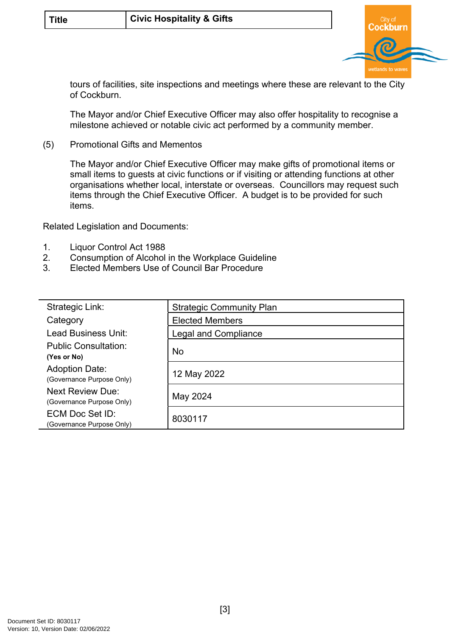

tours of facilities, site inspections and meetings where these are relevant to the City of Cockburn.

The Mayor and/or Chief Executive Officer may also offer hospitality to recognise a milestone achieved or notable civic act performed by a community member.

(5) Promotional Gifts and Mementos

The Mayor and/or Chief Executive Officer may make gifts of promotional items or small items to guests at civic functions or if visiting or attending functions at other organisations whether local, interstate or overseas. Councillors may request such items through the Chief Executive Officer. A budget is to be provided for such items.

Related Legislation and Documents:

- 1. Liquor Control Act 1988
- 2. Consumption of Alcohol in the Workplace Guideline
- 3. Elected Members Use of Council Bar Procedure

<span id="page-2-0"></span>

| Strategic Link:                                      | <b>Strategic Community Plan</b> |  |
|------------------------------------------------------|---------------------------------|--|
| Category                                             | <b>Elected Members</b>          |  |
| Lead Business Unit:                                  | <b>Legal and Compliance</b>     |  |
| <b>Public Consultation:</b><br>(Yes or No)           | <b>No</b>                       |  |
| <b>Adoption Date:</b><br>(Governance Purpose Only)   | 12 May 2022                     |  |
| <b>Next Review Due:</b><br>(Governance Purpose Only) | May 2024                        |  |
| ECM Doc Set ID:<br>(Governance Purpose Only)         | 8030117                         |  |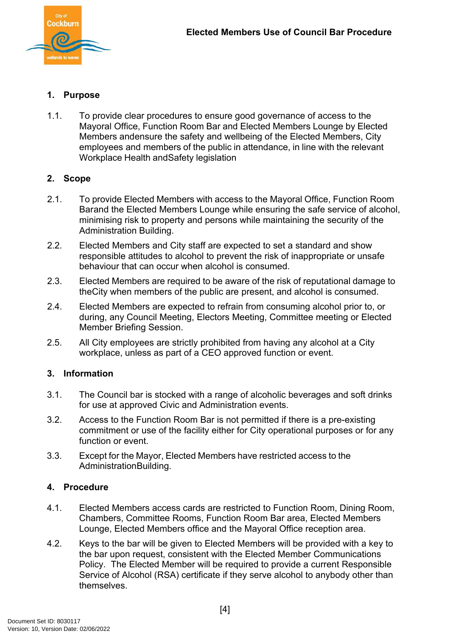

## <span id="page-3-0"></span>**1. Purpose**

1.1. To provide clear procedures to ensure good governance of access to the Mayoral Office, Function Room Bar and Elected Members Lounge by Elected Members and ensure the safety and wellbeing of the Elected Members, City employees and members of the public in attendance, in line with the relevant Workplace Health and Safety legislation

## **2. Scope**

- 2.1. To provide Elected Members with access to the Mayoral Office, Function Room Barand the Elected Members Lounge while ensuring the safe service of alcohol, minimising risk to property and persons while maintaining the security of the Administration Building.
- 2.2. Elected Members and City staff are expected to set a standard and show responsible attitudes to alcohol to prevent the risk of inappropriate or unsafe behaviour that can occur when alcohol is consumed.
- 2.3. Elected Members are required to be aware of the risk of reputational damage to the City when members of the public are present, and alcohol is consumed.
- 2.4. Elected Members are expected to refrain from consuming alcohol prior to, or during, any Council Meeting, Electors Meeting, Committee meeting or Elected Member Briefing Session.
- 2.5. All City employees are strictly prohibited from having any alcohol at a City workplace, unless as part of a CEO approved function or event.

#### **3. Information**

- 3.1. The Council bar is stocked with a range of alcoholic beverages and soft drinks for use at approved Civic and Administration events.
- 3.2. Access to the Function Room Bar is not permitted if there is a pre-existing commitment or use of the facility either for City operational purposes or for any function or event.
- 3.3. Except for the Mayor, Elected Members have restricted access to the Administration Building.

#### **4. Procedure**

- 4.1. Elected Members access cards are restricted to Function Room, Dining Room, Chambers, Committee Rooms, Function Room Bar area, Elected Members Lounge, Elected Members office and the Mayoral Office reception area.
- 4.2. Keys to the bar will be given to Elected Members will be provided with a key to the bar upon request, consistent with the Elected Member Communications Policy. The Elected Member will be required to provide a current Responsible Service of Alcohol (RSA) certificate if they serve alcohol to anybody other than themselves.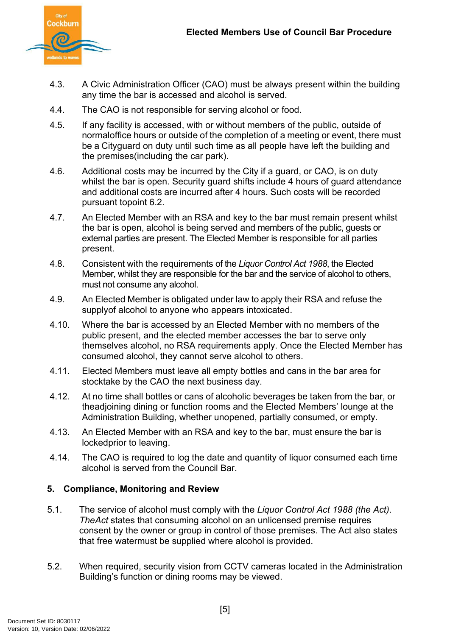

- 4.3. A Civic Administration Officer (CAO) must be always present within the building any time the bar is accessed and alcohol is served.
- 4.4. The CAO is not responsible for serving alcohol or food.
- 4.5. If any facility is accessed, with or without members of the public, outside of normal office hours or outside of the completion of a meeting or event, there must be a City guard on duty until such time as all people have left the building and the premises (including the car park).
- 4.6. Additional costs may be incurred by the City if a guard, or CAO, is on duty whilst the bar is open. Security quard shifts include 4 hours of quard attendance and additional costs are incurred after 4 hours. Such costs will be recorded pursuant topoint 6.2.
- 4.7. An Elected Member with an RSA and key to the bar must remain present whilst the bar is open, alcohol is being served and members of the public, guests or external parties are present. The Elected Member is responsible for all parties present.
- 4.8. Consistent with the requirements of the *Liquor Control Act 1988*, the Elected Member, whilst they are responsible for the bar and the service of alcohol to others, must not consume any alcohol.
- 4.9. An Elected Member is obligated under law to apply their RSA and refuse the supply of alcohol to anyone who appears intoxicated.
- 4.10. Where the bar is accessed by an Elected Member with no members of the public present, and the elected member accesses the bar to serve only themselves alcohol, no RSA requirements apply. Once the Elected Member has consumed alcohol, they cannot serve alcohol to others.
- 4.11. Elected Members must leave all empty bottles and cans in the bar area for stocktake by the CAO the next business day.
- 4.12. At no time shall bottles or cans of alcoholic beverages be taken from the bar, or the adjoining dining or function rooms and the Elected Members' lounge at the Administration Building, whether unopened, partially consumed, or empty.
- 4.13. An Elected Member with an RSA and key to the bar, must ensure the bar is locked prior to leaving.
- 4.14. The CAO is required to log the date and quantity of liquor consumed each time alcohol is served from the Council Bar.

# **5. Compliance, Monitoring and Review**

- 5.1. The service of alcohol must comply with the *Liquor Control Act 1988 (the Act)*. *The Act* states that consuming alcohol on an unlicensed premise requires consent by the owner or group in control of those premises. The Act also states that free watermust be supplied where alcohol is provided.
- 5.2. When required, security vision from CCTV cameras located in the Administration Building's function or dining rooms may be viewed.